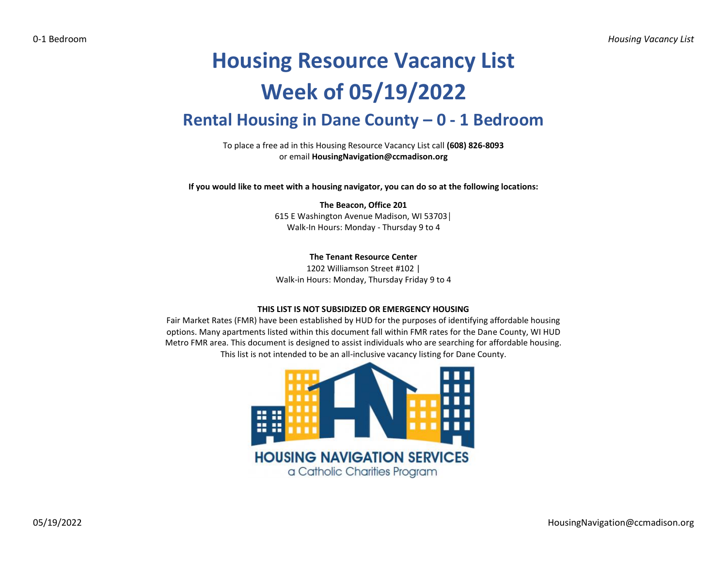## **Housing Resource Vacancy List Week of 05/19/2022 Rental Housing in Dane County – 0 - 1 Bedroom**

To place a free ad in this Housing Resource Vacancy List call **(608) 826-8093** or email **HousingNavigation@ccmadison.org**

**If you would like to meet with a housing navigator, you can do so at the following locations:**

**The Beacon, Office 201** 615 E Washington Avenue Madison, WI 53703│ Walk-In Hours: Monday - Thursday 9 to 4

**The Tenant Resource Center**

1202 Williamson Street #102 | Walk-in Hours: Monday, Thursday Friday 9 to 4

## **THIS LIST IS NOT SUBSIDIZED OR EMERGENCY HOUSING**

Fair Market Rates (FMR) have been established by HUD for the purposes of identifying affordable housing options. Many apartments listed within this document fall within FMR rates for the Dane County, WI HUD Metro FMR area. This document is designed to assist individuals who are searching for affordable housing. This list is not intended to be an all-inclusive vacancy listing for Dane County.

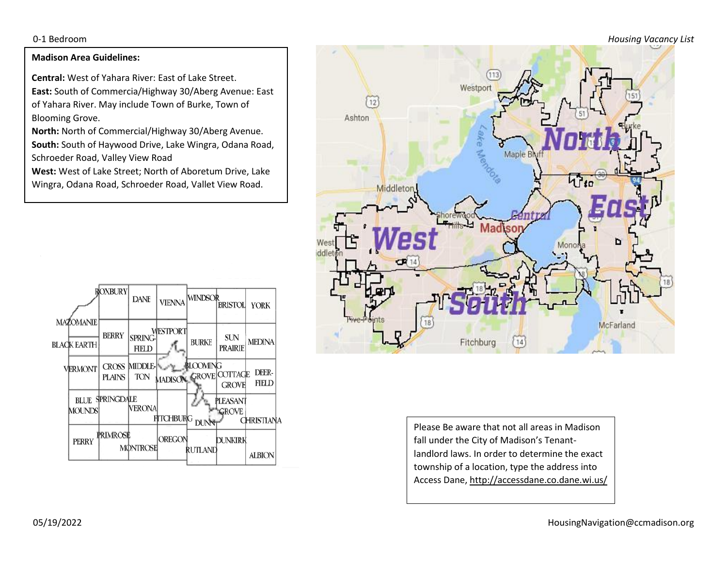0-1 Bedroom *Housing Vacancy List*

## **Madison Area Guidelines:**

**Central:** West of Yahara River: East of Lake Street. **East:** South of Commercia/Highway 30/Aberg Avenue: East of Yahara River. May include Town of Burke, Town of Blooming Grove.

**North:** North of Commercial/Highway 30/Aberg Avenue. **South:** South of Haywood Drive, Lake Wingra, Odana Road, Schroeder Road, Valley View Road

**West:** West of Lake Street; North of Aboretum Drive, Lake Wingra, Odana Road, Schroeder Road, Vallet View Road.





Please Be aware that not all areas in Madison fall under the City of Madison's Tenantlandlord laws. In order to determine the exact township of a location, type the address into Access Dane, http://accessdane.co.dane.wi.us/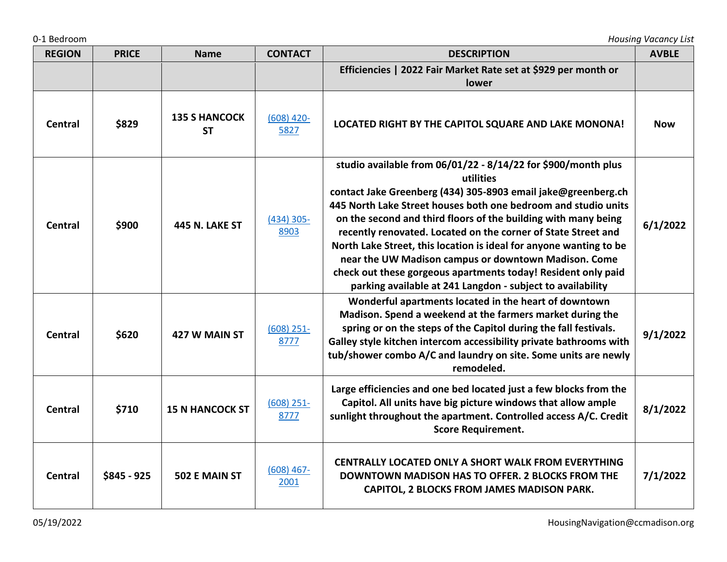| 0-1 Bedroom    |              |                                   |                      |                                                                                                                                                                                                                                                                                                                                                                                                                                                                                                                                                                                                               | <b>Housing Vacancy List</b> |
|----------------|--------------|-----------------------------------|----------------------|---------------------------------------------------------------------------------------------------------------------------------------------------------------------------------------------------------------------------------------------------------------------------------------------------------------------------------------------------------------------------------------------------------------------------------------------------------------------------------------------------------------------------------------------------------------------------------------------------------------|-----------------------------|
| <b>REGION</b>  | <b>PRICE</b> | <b>Name</b>                       | <b>CONTACT</b>       | <b>DESCRIPTION</b>                                                                                                                                                                                                                                                                                                                                                                                                                                                                                                                                                                                            | <b>AVBLE</b>                |
|                |              |                                   |                      | Efficiencies   2022 Fair Market Rate set at \$929 per month or<br>lower                                                                                                                                                                                                                                                                                                                                                                                                                                                                                                                                       |                             |
| <b>Central</b> | \$829        | <b>135 S HANCOCK</b><br><b>ST</b> | $(608)$ 420-<br>5827 | LOCATED RIGHT BY THE CAPITOL SQUARE AND LAKE MONONA!                                                                                                                                                                                                                                                                                                                                                                                                                                                                                                                                                          | <b>Now</b>                  |
| <b>Central</b> | \$900        | 445 N. LAKE ST                    | $(434)$ 305-<br>8903 | studio available from 06/01/22 - 8/14/22 for \$900/month plus<br>utilities<br>contact Jake Greenberg (434) 305-8903 email jake@greenberg.ch<br>445 North Lake Street houses both one bedroom and studio units<br>on the second and third floors of the building with many being<br>recently renovated. Located on the corner of State Street and<br>North Lake Street, this location is ideal for anyone wanting to be<br>near the UW Madison campus or downtown Madison. Come<br>check out these gorgeous apartments today! Resident only paid<br>parking available at 241 Langdon - subject to availability | 6/1/2022                    |
| <b>Central</b> | \$620        | 427 W MAIN ST                     | $(608)$ 251-<br>8777 | Wonderful apartments located in the heart of downtown<br>Madison. Spend a weekend at the farmers market during the<br>spring or on the steps of the Capitol during the fall festivals.<br>Galley style kitchen intercom accessibility private bathrooms with<br>tub/shower combo A/C and laundry on site. Some units are newly<br>remodeled.                                                                                                                                                                                                                                                                  | 9/1/2022                    |
| <b>Central</b> | \$710        | <b>15 N HANCOCK ST</b>            | $(608)$ 251-<br>8777 | Large efficiencies and one bed located just a few blocks from the<br>Capitol. All units have big picture windows that allow ample<br>sunlight throughout the apartment. Controlled access A/C. Credit<br><b>Score Requirement.</b>                                                                                                                                                                                                                                                                                                                                                                            | 8/1/2022                    |
| <b>Central</b> | $$845 - 925$ | 502 E MAIN ST                     | $(608)$ 467-<br>2001 | CENTRALLY LOCATED ONLY A SHORT WALK FROM EVERYTHING<br><b>DOWNTOWN MADISON HAS TO OFFER. 2 BLOCKS FROM THE</b><br>CAPITOL, 2 BLOCKS FROM JAMES MADISON PARK.                                                                                                                                                                                                                                                                                                                                                                                                                                                  | 7/1/2022                    |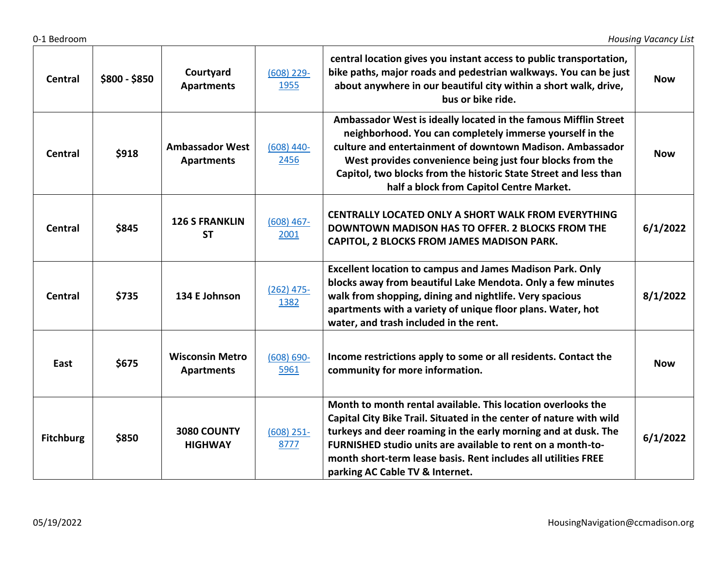| <b>Central</b>   | \$800 - \$850 | Courtyard<br><b>Apartments</b>              | $(608)$ 229-<br>1955  | central location gives you instant access to public transportation,<br>bike paths, major roads and pedestrian walkways. You can be just<br>about anywhere in our beautiful city within a short walk, drive,<br>bus or bike ride.                                                                                                                                          | <b>Now</b> |
|------------------|---------------|---------------------------------------------|-----------------------|---------------------------------------------------------------------------------------------------------------------------------------------------------------------------------------------------------------------------------------------------------------------------------------------------------------------------------------------------------------------------|------------|
| <b>Central</b>   | \$918         | <b>Ambassador West</b><br><b>Apartments</b> | $(608)$ 440-<br>2456  | Ambassador West is ideally located in the famous Mifflin Street<br>neighborhood. You can completely immerse yourself in the<br>culture and entertainment of downtown Madison. Ambassador<br>West provides convenience being just four blocks from the<br>Capitol, two blocks from the historic State Street and less than<br>half a block from Capitol Centre Market.     | <b>Now</b> |
| <b>Central</b>   | \$845         | <b>126 S FRANKLIN</b><br><b>ST</b>          | $(608)$ 467-<br>2001  | CENTRALLY LOCATED ONLY A SHORT WALK FROM EVERYTHING<br><b>DOWNTOWN MADISON HAS TO OFFER. 2 BLOCKS FROM THE</b><br>CAPITOL, 2 BLOCKS FROM JAMES MADISON PARK.                                                                                                                                                                                                              | 6/1/2022   |
| <b>Central</b>   | \$735         | 134 E Johnson                               | $(262)$ 475-<br>1382  | <b>Excellent location to campus and James Madison Park. Only</b><br>blocks away from beautiful Lake Mendota. Only a few minutes<br>walk from shopping, dining and nightlife. Very spacious<br>apartments with a variety of unique floor plans. Water, hot<br>water, and trash included in the rent.                                                                       | 8/1/2022   |
| East             | \$675         | <b>Wisconsin Metro</b><br><b>Apartments</b> | $(608) 690 -$<br>5961 | Income restrictions apply to some or all residents. Contact the<br>community for more information.                                                                                                                                                                                                                                                                        | <b>Now</b> |
| <b>Fitchburg</b> | \$850         | 3080 COUNTY<br><b>HIGHWAY</b>               | $(608)$ 251-<br>8777  | Month to month rental available. This location overlooks the<br>Capital City Bike Trail. Situated in the center of nature with wild<br>turkeys and deer roaming in the early morning and at dusk. The<br>FURNISHED studio units are available to rent on a month-to-<br>month short-term lease basis. Rent includes all utilities FREE<br>parking AC Cable TV & Internet. | 6/1/2022   |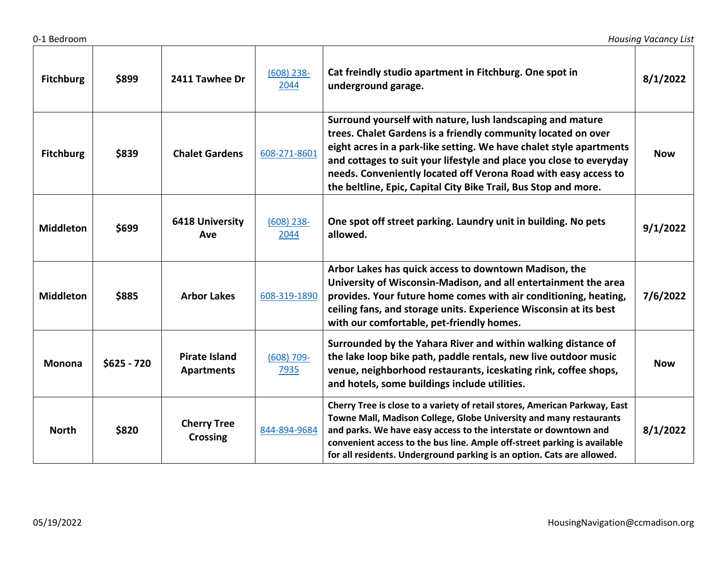| <b>Fitchburg</b> | \$899        | 2411 Tawhee Dr                            | $(608)$ 238-<br>2044  | Cat freindly studio apartment in Fitchburg. One spot in<br>underground garage.                                                                                                                                                                                                                                                                                                                                  | 8/1/2022   |
|------------------|--------------|-------------------------------------------|-----------------------|-----------------------------------------------------------------------------------------------------------------------------------------------------------------------------------------------------------------------------------------------------------------------------------------------------------------------------------------------------------------------------------------------------------------|------------|
| <b>Fitchburg</b> | \$839        | <b>Chalet Gardens</b>                     | 608-271-8601          | Surround yourself with nature, lush landscaping and mature<br>trees. Chalet Gardens is a friendly community located on over<br>eight acres in a park-like setting. We have chalet style apartments<br>and cottages to suit your lifestyle and place you close to everyday<br>needs. Conveniently located off Verona Road with easy access to<br>the beltline, Epic, Capital City Bike Trail, Bus Stop and more. | <b>Now</b> |
| <b>Middleton</b> | \$699        | <b>6418 University</b><br>Ave             | $(608)$ 238-<br>2044  | One spot off street parking. Laundry unit in building. No pets<br>allowed.                                                                                                                                                                                                                                                                                                                                      | 9/1/2022   |
| <b>Middleton</b> | \$885        | <b>Arbor Lakes</b>                        | 608-319-1890          | Arbor Lakes has quick access to downtown Madison, the<br>University of Wisconsin-Madison, and all entertainment the area<br>provides. Your future home comes with air conditioning, heating,<br>ceiling fans, and storage units. Experience Wisconsin at its best<br>with our comfortable, pet-friendly homes.                                                                                                  | 7/6/2022   |
| <b>Monona</b>    | $$625 - 720$ | <b>Pirate Island</b><br><b>Apartments</b> | $(608) 709 -$<br>7935 | Surrounded by the Yahara River and within walking distance of<br>the lake loop bike path, paddle rentals, new live outdoor music<br>venue, neighborhood restaurants, iceskating rink, coffee shops,<br>and hotels, some buildings include utilities.                                                                                                                                                            | <b>Now</b> |
| <b>North</b>     | \$820        | <b>Cherry Tree</b><br><b>Crossing</b>     | 844-894-9684          | Cherry Tree is close to a variety of retail stores, American Parkway, East<br>Towne Mall, Madison College, Globe University and many restaurants<br>and parks. We have easy access to the interstate or downtown and<br>convenient access to the bus line. Ample off-street parking is available<br>for all residents. Underground parking is an option. Cats are allowed.                                      | 8/1/2022   |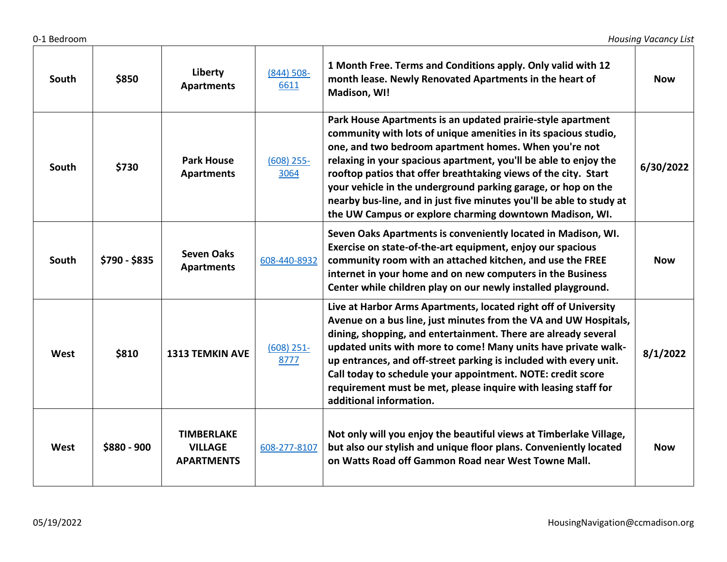| South | \$850         | Liberty<br><b>Apartments</b>                             | $(844) 508 -$<br>6611 | 1 Month Free. Terms and Conditions apply. Only valid with 12<br>month lease. Newly Renovated Apartments in the heart of<br>Madison, WI!                                                                                                                                                                                                                                                                                                                                                                                            | <b>Now</b> |
|-------|---------------|----------------------------------------------------------|-----------------------|------------------------------------------------------------------------------------------------------------------------------------------------------------------------------------------------------------------------------------------------------------------------------------------------------------------------------------------------------------------------------------------------------------------------------------------------------------------------------------------------------------------------------------|------------|
| South | \$730         | <b>Park House</b><br><b>Apartments</b>                   | $(608)$ 255-<br>3064  | Park House Apartments is an updated prairie-style apartment<br>community with lots of unique amenities in its spacious studio,<br>one, and two bedroom apartment homes. When you're not<br>relaxing in your spacious apartment, you'll be able to enjoy the<br>rooftop patios that offer breathtaking views of the city. Start<br>your vehicle in the underground parking garage, or hop on the<br>nearby bus-line, and in just five minutes you'll be able to study at<br>the UW Campus or explore charming downtown Madison, WI. | 6/30/2022  |
| South | \$790 - \$835 | <b>Seven Oaks</b><br><b>Apartments</b>                   | 608-440-8932          | Seven Oaks Apartments is conveniently located in Madison, WI.<br>Exercise on state-of-the-art equipment, enjoy our spacious<br>community room with an attached kitchen, and use the FREE<br>internet in your home and on new computers in the Business<br>Center while children play on our newly installed playground.                                                                                                                                                                                                            | <b>Now</b> |
| West  | \$810         | <b>1313 TEMKIN AVE</b>                                   | $(608)$ 251-<br>8777  | Live at Harbor Arms Apartments, located right off of University<br>Avenue on a bus line, just minutes from the VA and UW Hospitals,<br>dining, shopping, and entertainment. There are already several<br>updated units with more to come! Many units have private walk-<br>up entrances, and off-street parking is included with every unit.<br>Call today to schedule your appointment. NOTE: credit score<br>requirement must be met, please inquire with leasing staff for<br>additional information.                           | 8/1/2022   |
| West  | $$880 - 900$  | <b>TIMBERLAKE</b><br><b>VILLAGE</b><br><b>APARTMENTS</b> | 608-277-8107          | Not only will you enjoy the beautiful views at Timberlake Village,<br>but also our stylish and unique floor plans. Conveniently located<br>on Watts Road off Gammon Road near West Towne Mall.                                                                                                                                                                                                                                                                                                                                     | <b>Now</b> |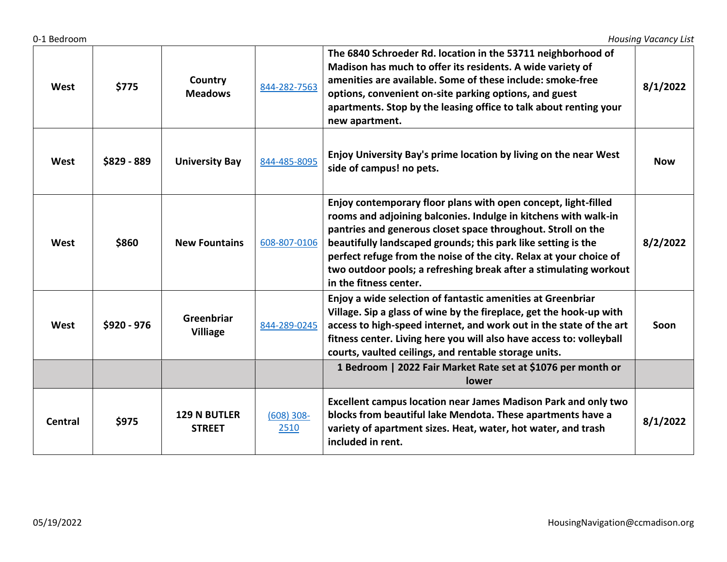| West    | \$775       | Country<br><b>Meadows</b>            | 844-282-7563         | The 6840 Schroeder Rd. location in the 53711 neighborhood of<br>Madison has much to offer its residents. A wide variety of<br>amenities are available. Some of these include: smoke-free<br>options, convenient on-site parking options, and guest<br>apartments. Stop by the leasing office to talk about renting your<br>new apartment.                                                                                               | 8/1/2022   |
|---------|-------------|--------------------------------------|----------------------|-----------------------------------------------------------------------------------------------------------------------------------------------------------------------------------------------------------------------------------------------------------------------------------------------------------------------------------------------------------------------------------------------------------------------------------------|------------|
| West    | \$829 - 889 | <b>University Bay</b>                | 844-485-8095         | Enjoy University Bay's prime location by living on the near West<br>side of campus! no pets.                                                                                                                                                                                                                                                                                                                                            | <b>Now</b> |
| West    | \$860       | <b>New Fountains</b>                 | 608-807-0106         | Enjoy contemporary floor plans with open concept, light-filled<br>rooms and adjoining balconies. Indulge in kitchens with walk-in<br>pantries and generous closet space throughout. Stroll on the<br>beautifully landscaped grounds; this park like setting is the<br>perfect refuge from the noise of the city. Relax at your choice of<br>two outdoor pools; a refreshing break after a stimulating workout<br>in the fitness center. | 8/2/2022   |
| West    | \$920 - 976 | Greenbriar<br><b>Villiage</b>        | 844-289-0245         | Enjoy a wide selection of fantastic amenities at Greenbriar<br>Village. Sip a glass of wine by the fireplace, get the hook-up with<br>access to high-speed internet, and work out in the state of the art<br>fitness center. Living here you will also have access to: volleyball<br>courts, vaulted ceilings, and rentable storage units.                                                                                              | Soon       |
|         |             |                                      |                      | 1 Bedroom   2022 Fair Market Rate set at \$1076 per month or<br><b>lower</b>                                                                                                                                                                                                                                                                                                                                                            |            |
| Central | \$975       | <b>129 N BUTLER</b><br><b>STREET</b> | $(608)$ 308-<br>2510 | <b>Excellent campus location near James Madison Park and only two</b><br>blocks from beautiful lake Mendota. These apartments have a<br>variety of apartment sizes. Heat, water, hot water, and trash<br>included in rent.                                                                                                                                                                                                              | 8/1/2022   |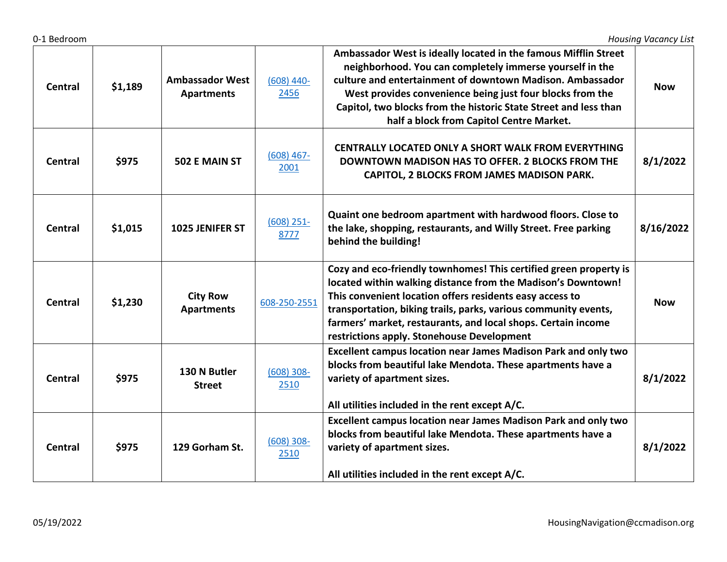| 0-1 Bedroom    |         |                                             |                       |                                                                                                                                                                                                                                                                                                                                                                                 | <b>Housing Vacancy List</b> |
|----------------|---------|---------------------------------------------|-----------------------|---------------------------------------------------------------------------------------------------------------------------------------------------------------------------------------------------------------------------------------------------------------------------------------------------------------------------------------------------------------------------------|-----------------------------|
| <b>Central</b> | \$1,189 | <b>Ambassador West</b><br><b>Apartments</b> | $(608)$ 440-<br>2456  | Ambassador West is ideally located in the famous Mifflin Street<br>neighborhood. You can completely immerse yourself in the<br>culture and entertainment of downtown Madison. Ambassador<br>West provides convenience being just four blocks from the<br>Capitol, two blocks from the historic State Street and less than<br>half a block from Capitol Centre Market.           | <b>Now</b>                  |
| <b>Central</b> | \$975   | 502 E MAIN ST                               | $(608)$ 467-<br>2001  | <b>CENTRALLY LOCATED ONLY A SHORT WALK FROM EVERYTHING</b><br>DOWNTOWN MADISON HAS TO OFFER. 2 BLOCKS FROM THE<br>CAPITOL, 2 BLOCKS FROM JAMES MADISON PARK.                                                                                                                                                                                                                    | 8/1/2022                    |
| Central        | \$1,015 | 1025 JENIFER ST                             | $(608)$ 251-<br>8777  | Quaint one bedroom apartment with hardwood floors. Close to<br>the lake, shopping, restaurants, and Willy Street. Free parking<br>behind the building!                                                                                                                                                                                                                          | 8/16/2022                   |
| <b>Central</b> | \$1,230 | <b>City Row</b><br><b>Apartments</b>        | 608-250-2551          | Cozy and eco-friendly townhomes! This certified green property is<br>located within walking distance from the Madison's Downtown!<br>This convenient location offers residents easy access to<br>transportation, biking trails, parks, various community events,<br>farmers' market, restaurants, and local shops. Certain income<br>restrictions apply. Stonehouse Development | <b>Now</b>                  |
| Central        | \$975   | 130 N Butler<br><b>Street</b>               | $(608) 308 -$<br>2510 | Excellent campus location near James Madison Park and only two<br>blocks from beautiful lake Mendota. These apartments have a<br>variety of apartment sizes.<br>All utilities included in the rent except A/C.                                                                                                                                                                  | 8/1/2022                    |
| Central        | \$975   | 129 Gorham St.                              | $(608)$ 308-<br>2510  | Excellent campus location near James Madison Park and only two<br>blocks from beautiful lake Mendota. These apartments have a<br>variety of apartment sizes.<br>All utilities included in the rent except A/C.                                                                                                                                                                  | 8/1/2022                    |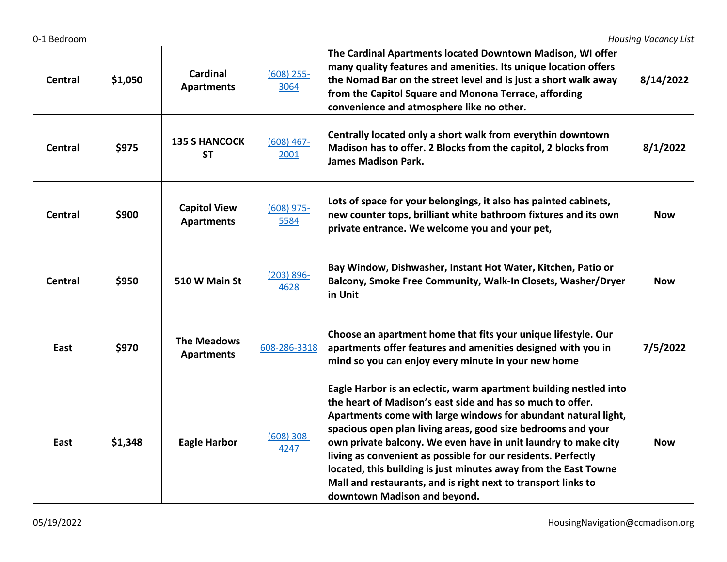| <b>Central</b> | \$1,050 | <b>Cardinal</b><br><b>Apartments</b>     | $(608)$ 255-<br>3064  | The Cardinal Apartments located Downtown Madison, WI offer<br>many quality features and amenities. Its unique location offers<br>the Nomad Bar on the street level and is just a short walk away<br>from the Capitol Square and Monona Terrace, affording<br>convenience and atmosphere like no other.                                                                                                                                                                                                                                                                   | 8/14/2022  |
|----------------|---------|------------------------------------------|-----------------------|--------------------------------------------------------------------------------------------------------------------------------------------------------------------------------------------------------------------------------------------------------------------------------------------------------------------------------------------------------------------------------------------------------------------------------------------------------------------------------------------------------------------------------------------------------------------------|------------|
| <b>Central</b> | \$975   | <b>135 S HANCOCK</b><br><b>ST</b>        | $(608)$ 467-<br>2001  | Centrally located only a short walk from everythin downtown<br>Madison has to offer. 2 Blocks from the capitol, 2 blocks from<br><b>James Madison Park.</b>                                                                                                                                                                                                                                                                                                                                                                                                              | 8/1/2022   |
| <b>Central</b> | \$900   | <b>Capitol View</b><br><b>Apartments</b> | $(608)$ 975-<br>5584  | Lots of space for your belongings, it also has painted cabinets,<br>new counter tops, brilliant white bathroom fixtures and its own<br>private entrance. We welcome you and your pet,                                                                                                                                                                                                                                                                                                                                                                                    | <b>Now</b> |
| <b>Central</b> | \$950   | 510 W Main St                            | $(203) 896 -$<br>4628 | Bay Window, Dishwasher, Instant Hot Water, Kitchen, Patio or<br>Balcony, Smoke Free Community, Walk-In Closets, Washer/Dryer<br>in Unit                                                                                                                                                                                                                                                                                                                                                                                                                                  | <b>Now</b> |
| East           | \$970   | <b>The Meadows</b><br><b>Apartments</b>  | 608-286-3318          | Choose an apartment home that fits your unique lifestyle. Our<br>apartments offer features and amenities designed with you in<br>mind so you can enjoy every minute in your new home                                                                                                                                                                                                                                                                                                                                                                                     | 7/5/2022   |
| East           | \$1,348 | <b>Eagle Harbor</b>                      | $(608) 308 -$<br>4247 | Eagle Harbor is an eclectic, warm apartment building nestled into<br>the heart of Madison's east side and has so much to offer.<br>Apartments come with large windows for abundant natural light,<br>spacious open plan living areas, good size bedrooms and your<br>own private balcony. We even have in unit laundry to make city<br>living as convenient as possible for our residents. Perfectly<br>located, this building is just minutes away from the East Towne<br>Mall and restaurants, and is right next to transport links to<br>downtown Madison and beyond. | <b>Now</b> |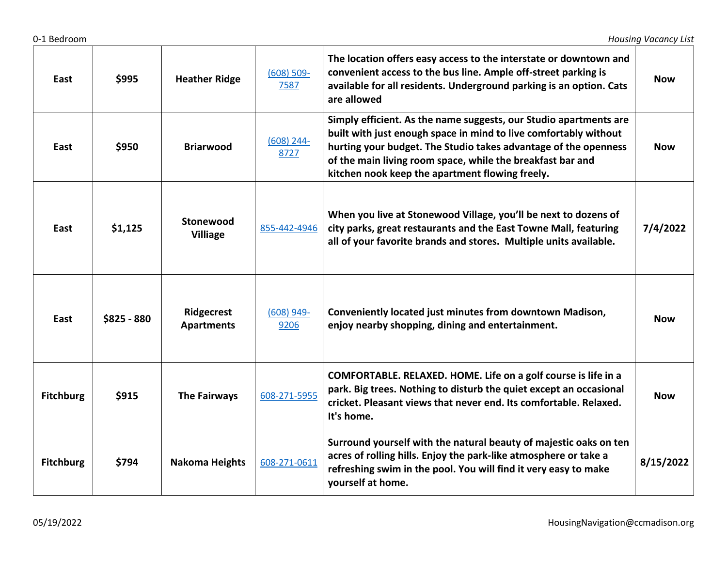| East             | \$995       | <b>Heather Ridge</b>            | $(608) 509 -$<br>7587 | The location offers easy access to the interstate or downtown and<br>convenient access to the bus line. Ample off-street parking is<br>available for all residents. Underground parking is an option. Cats<br>are allowed                                                                                                 | <b>Now</b> |
|------------------|-------------|---------------------------------|-----------------------|---------------------------------------------------------------------------------------------------------------------------------------------------------------------------------------------------------------------------------------------------------------------------------------------------------------------------|------------|
| East             | \$950       | <b>Briarwood</b>                | $(608)$ 244-<br>8727  | Simply efficient. As the name suggests, our Studio apartments are<br>built with just enough space in mind to live comfortably without<br>hurting your budget. The Studio takes advantage of the openness<br>of the main living room space, while the breakfast bar and<br>kitchen nook keep the apartment flowing freely. | <b>Now</b> |
| East             | \$1,125     | Stonewood<br><b>Villiage</b>    | 855-442-4946          | When you live at Stonewood Village, you'll be next to dozens of<br>city parks, great restaurants and the East Towne Mall, featuring<br>all of your favorite brands and stores. Multiple units available.                                                                                                                  | 7/4/2022   |
| East             | \$825 - 880 | Ridgecrest<br><b>Apartments</b> | $(608)$ 949-<br>9206  | Conveniently located just minutes from downtown Madison,<br>enjoy nearby shopping, dining and entertainment.                                                                                                                                                                                                              | <b>Now</b> |
| <b>Fitchburg</b> | \$915       | <b>The Fairways</b>             | 608-271-5955          | COMFORTABLE. RELAXED. HOME. Life on a golf course is life in a<br>park. Big trees. Nothing to disturb the quiet except an occasional<br>cricket. Pleasant views that never end. Its comfortable. Relaxed.<br>It's home.                                                                                                   | <b>Now</b> |
| <b>Fitchburg</b> | \$794       | <b>Nakoma Heights</b>           | 608-271-0611          | Surround yourself with the natural beauty of majestic oaks on ten<br>acres of rolling hills. Enjoy the park-like atmosphere or take a<br>refreshing swim in the pool. You will find it very easy to make<br>yourself at home.                                                                                             | 8/15/2022  |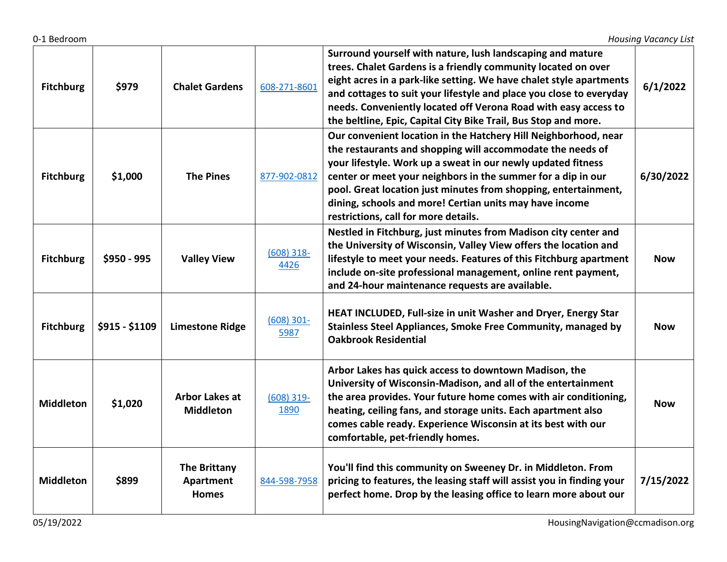| <b>Fitchburg</b> | \$979          | <b>Chalet Gardens</b>                            | 608-271-8601         | Surround yourself with nature, lush landscaping and mature<br>trees. Chalet Gardens is a friendly community located on over<br>eight acres in a park-like setting. We have chalet style apartments<br>and cottages to suit your lifestyle and place you close to everyday<br>needs. Conveniently located off Verona Road with easy access to<br>the beltline, Epic, Capital City Bike Trail, Bus Stop and more.                     | 6/1/2022   |
|------------------|----------------|--------------------------------------------------|----------------------|-------------------------------------------------------------------------------------------------------------------------------------------------------------------------------------------------------------------------------------------------------------------------------------------------------------------------------------------------------------------------------------------------------------------------------------|------------|
| <b>Fitchburg</b> | \$1,000        | <b>The Pines</b>                                 | 877-902-0812         | Our convenient location in the Hatchery Hill Neighborhood, near<br>the restaurants and shopping will accommodate the needs of<br>your lifestyle. Work up a sweat in our newly updated fitness<br>center or meet your neighbors in the summer for a dip in our<br>pool. Great location just minutes from shopping, entertainment,<br>dining, schools and more! Certian units may have income<br>restrictions, call for more details. | 6/30/2022  |
| <b>Fitchburg</b> | \$950 - 995    | <b>Valley View</b>                               | $(608)$ 318-<br>4426 | Nestled in Fitchburg, just minutes from Madison city center and<br>the University of Wisconsin, Valley View offers the location and<br>lifestyle to meet your needs. Features of this Fitchburg apartment<br>include on-site professional management, online rent payment,<br>and 24-hour maintenance requests are available.                                                                                                       | <b>Now</b> |
| <b>Fitchburg</b> | \$915 - \$1109 | <b>Limestone Ridge</b>                           | $(608)$ 301-<br>5987 | HEAT INCLUDED, Full-size in unit Washer and Dryer, Energy Star<br>Stainless Steel Appliances, Smoke Free Community, managed by<br><b>Oakbrook Residential</b>                                                                                                                                                                                                                                                                       | <b>Now</b> |
| <b>Middleton</b> | \$1,020        | <b>Arbor Lakes at</b><br><b>Middleton</b>        | $(608)$ 319-<br>1890 | Arbor Lakes has quick access to downtown Madison, the<br>University of Wisconsin-Madison, and all of the entertainment<br>the area provides. Your future home comes with air conditioning,<br>heating, ceiling fans, and storage units. Each apartment also<br>comes cable ready. Experience Wisconsin at its best with our<br>comfortable, pet-friendly homes.                                                                     | <b>Now</b> |
| <b>Middleton</b> | \$899          | <b>The Brittany</b><br>Apartment<br><b>Homes</b> | 844-598-7958         | You'll find this community on Sweeney Dr. in Middleton. From<br>pricing to features, the leasing staff will assist you in finding your<br>perfect home. Drop by the leasing office to learn more about our                                                                                                                                                                                                                          | 7/15/2022  |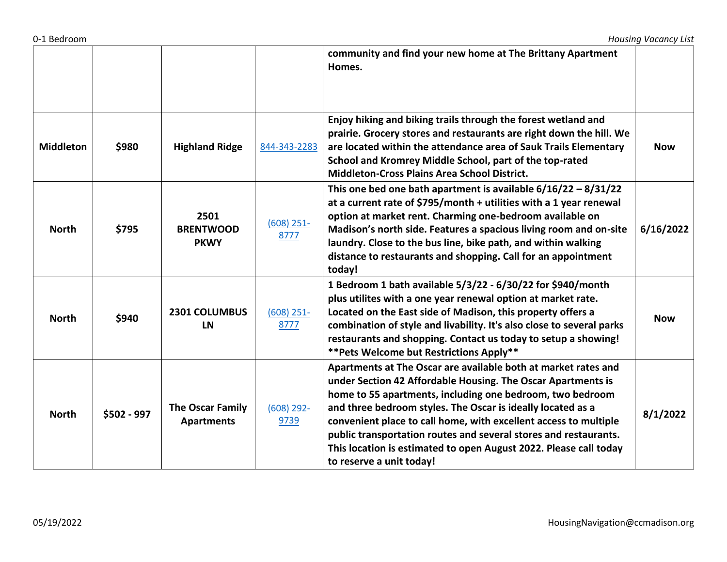|                  |             |                                              |                      | community and find your new home at The Brittany Apartment<br>Homes.                                                                                                                                                                                                                                                                                                                                                                                                                                |            |
|------------------|-------------|----------------------------------------------|----------------------|-----------------------------------------------------------------------------------------------------------------------------------------------------------------------------------------------------------------------------------------------------------------------------------------------------------------------------------------------------------------------------------------------------------------------------------------------------------------------------------------------------|------------|
| <b>Middleton</b> | \$980       | <b>Highland Ridge</b>                        | 844-343-2283         | Enjoy hiking and biking trails through the forest wetland and<br>prairie. Grocery stores and restaurants are right down the hill. We<br>are located within the attendance area of Sauk Trails Elementary<br>School and Kromrey Middle School, part of the top-rated<br><b>Middleton-Cross Plains Area School District.</b>                                                                                                                                                                          | <b>Now</b> |
| <b>North</b>     | \$795       | 2501<br><b>BRENTWOOD</b><br><b>PKWY</b>      | $(608)$ 251-<br>8777 | This one bed one bath apartment is available $6/16/22 - 8/31/22$<br>at a current rate of \$795/month + utilities with a 1 year renewal<br>option at market rent. Charming one-bedroom available on<br>Madison's north side. Features a spacious living room and on-site<br>laundry. Close to the bus line, bike path, and within walking<br>distance to restaurants and shopping. Call for an appointment<br>today!                                                                                 | 6/16/2022  |
| <b>North</b>     | \$940       | <b>2301 COLUMBUS</b><br>LN                   | $(608)$ 251-<br>8777 | 1 Bedroom 1 bath available 5/3/22 - 6/30/22 for \$940/month<br>plus utilites with a one year renewal option at market rate.<br>Located on the East side of Madison, this property offers a<br>combination of style and livability. It's also close to several parks<br>restaurants and shopping. Contact us today to setup a showing!<br>** Pets Welcome but Restrictions Apply**                                                                                                                   | <b>Now</b> |
| <b>North</b>     | \$502 - 997 | <b>The Oscar Family</b><br><b>Apartments</b> | $(608)$ 292-<br>9739 | Apartments at The Oscar are available both at market rates and<br>under Section 42 Affordable Housing. The Oscar Apartments is<br>home to 55 apartments, including one bedroom, two bedroom<br>and three bedroom styles. The Oscar is ideally located as a<br>convenient place to call home, with excellent access to multiple<br>public transportation routes and several stores and restaurants.<br>This location is estimated to open August 2022. Please call today<br>to reserve a unit today! | 8/1/2022   |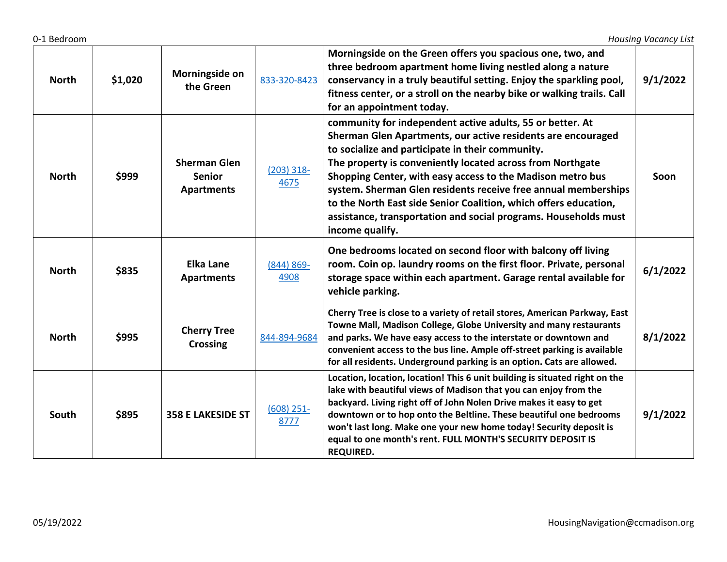| <b>North</b> | \$1,020 | Morningside on<br>the Green                               | 833-320-8423          | Morningside on the Green offers you spacious one, two, and<br>three bedroom apartment home living nestled along a nature<br>conservancy in a truly beautiful setting. Enjoy the sparkling pool,<br>fitness center, or a stroll on the nearby bike or walking trails. Call<br>for an appointment today.                                                                                                                                                                                                                                | 9/1/2022 |
|--------------|---------|-----------------------------------------------------------|-----------------------|---------------------------------------------------------------------------------------------------------------------------------------------------------------------------------------------------------------------------------------------------------------------------------------------------------------------------------------------------------------------------------------------------------------------------------------------------------------------------------------------------------------------------------------|----------|
| <b>North</b> | \$999   | <b>Sherman Glen</b><br><b>Senior</b><br><b>Apartments</b> | $(203)$ 318-<br>4675  | community for independent active adults, 55 or better. At<br>Sherman Glen Apartments, our active residents are encouraged<br>to socialize and participate in their community.<br>The property is conveniently located across from Northgate<br>Shopping Center, with easy access to the Madison metro bus<br>system. Sherman Glen residents receive free annual memberships<br>to the North East side Senior Coalition, which offers education,<br>assistance, transportation and social programs. Households must<br>income qualify. | Soon     |
| <b>North</b> | \$835   | Elka Lane<br><b>Apartments</b>                            | $(844) 869 -$<br>4908 | One bedrooms located on second floor with balcony off living<br>room. Coin op. laundry rooms on the first floor. Private, personal<br>storage space within each apartment. Garage rental available for<br>vehicle parking.                                                                                                                                                                                                                                                                                                            | 6/1/2022 |
| <b>North</b> | \$995   | <b>Cherry Tree</b><br><b>Crossing</b>                     | 844-894-9684          | Cherry Tree is close to a variety of retail stores, American Parkway, East<br>Towne Mall, Madison College, Globe University and many restaurants<br>and parks. We have easy access to the interstate or downtown and<br>convenient access to the bus line. Ample off-street parking is available<br>for all residents. Underground parking is an option. Cats are allowed.                                                                                                                                                            | 8/1/2022 |
| South        | \$895   | <b>358 E LAKESIDE ST</b>                                  | $(608)$ 251-<br>8777  | Location, location, location! This 6 unit building is situated right on the<br>lake with beautiful views of Madison that you can enjoy from the<br>backyard. Living right off of John Nolen Drive makes it easy to get<br>downtown or to hop onto the Beltline. These beautiful one bedrooms<br>won't last long. Make one your new home today! Security deposit is<br>equal to one month's rent. FULL MONTH'S SECURITY DEPOSIT IS<br><b>REQUIRED.</b>                                                                                 | 9/1/2022 |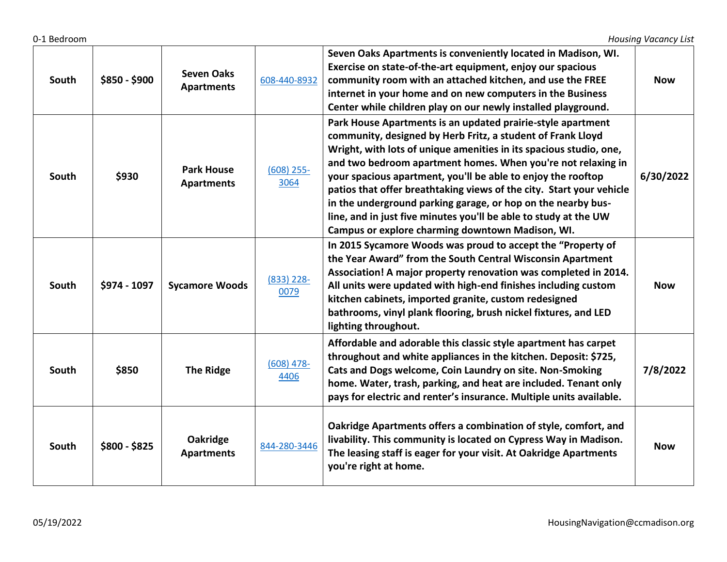| South | \$850 - \$900 | <b>Seven Oaks</b><br><b>Apartments</b> | 608-440-8932         | Seven Oaks Apartments is conveniently located in Madison, WI.<br>Exercise on state-of-the-art equipment, enjoy our spacious<br>community room with an attached kitchen, and use the FREE<br>internet in your home and on new computers in the Business<br>Center while children play on our newly installed playground.                                                                                                                                                                                                                                                                          | <b>Now</b> |
|-------|---------------|----------------------------------------|----------------------|--------------------------------------------------------------------------------------------------------------------------------------------------------------------------------------------------------------------------------------------------------------------------------------------------------------------------------------------------------------------------------------------------------------------------------------------------------------------------------------------------------------------------------------------------------------------------------------------------|------------|
| South | \$930         | <b>Park House</b><br><b>Apartments</b> | $(608)$ 255-<br>3064 | Park House Apartments is an updated prairie-style apartment<br>community, designed by Herb Fritz, a student of Frank Lloyd<br>Wright, with lots of unique amenities in its spacious studio, one,<br>and two bedroom apartment homes. When you're not relaxing in<br>your spacious apartment, you'll be able to enjoy the rooftop<br>patios that offer breathtaking views of the city. Start your vehicle<br>in the underground parking garage, or hop on the nearby bus-<br>line, and in just five minutes you'll be able to study at the UW<br>Campus or explore charming downtown Madison, WI. | 6/30/2022  |
| South | \$974 - 1097  | <b>Sycamore Woods</b>                  | $(833)$ 228-<br>0079 | In 2015 Sycamore Woods was proud to accept the "Property of<br>the Year Award" from the South Central Wisconsin Apartment<br>Association! A major property renovation was completed in 2014.<br>All units were updated with high-end finishes including custom<br>kitchen cabinets, imported granite, custom redesigned<br>bathrooms, vinyl plank flooring, brush nickel fixtures, and LED<br>lighting throughout.                                                                                                                                                                               | <b>Now</b> |
| South | \$850         | <b>The Ridge</b>                       | $(608)$ 478-<br>4406 | Affordable and adorable this classic style apartment has carpet<br>throughout and white appliances in the kitchen. Deposit: \$725,<br>Cats and Dogs welcome, Coin Laundry on site. Non-Smoking<br>home. Water, trash, parking, and heat are included. Tenant only<br>pays for electric and renter's insurance. Multiple units available.                                                                                                                                                                                                                                                         | 7/8/2022   |
| South | $$800 - $825$ | Oakridge<br><b>Apartments</b>          | 844-280-3446         | Oakridge Apartments offers a combination of style, comfort, and<br>livability. This community is located on Cypress Way in Madison.<br>The leasing staff is eager for your visit. At Oakridge Apartments<br>you're right at home.                                                                                                                                                                                                                                                                                                                                                                | <b>Now</b> |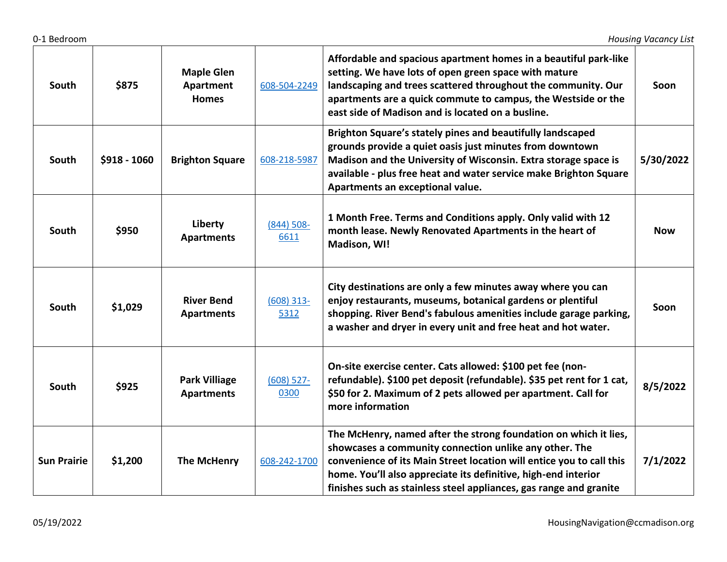| South              | \$875        | <b>Maple Glen</b><br>Apartment<br><b>Homes</b> | 608-504-2249          | Affordable and spacious apartment homes in a beautiful park-like<br>setting. We have lots of open green space with mature<br>landscaping and trees scattered throughout the community. Our<br>apartments are a quick commute to campus, the Westside or the<br>east side of Madison and is located on a busline.                           | Soon       |
|--------------------|--------------|------------------------------------------------|-----------------------|--------------------------------------------------------------------------------------------------------------------------------------------------------------------------------------------------------------------------------------------------------------------------------------------------------------------------------------------|------------|
| South              | \$918 - 1060 | <b>Brighton Square</b>                         | 608-218-5987          | Brighton Square's stately pines and beautifully landscaped<br>grounds provide a quiet oasis just minutes from downtown<br>Madison and the University of Wisconsin. Extra storage space is<br>available - plus free heat and water service make Brighton Square<br>Apartments an exceptional value.                                         | 5/30/2022  |
| South              | \$950        | Liberty<br><b>Apartments</b>                   | $(844) 508 -$<br>6611 | 1 Month Free. Terms and Conditions apply. Only valid with 12<br>month lease. Newly Renovated Apartments in the heart of<br>Madison, WI!                                                                                                                                                                                                    | <b>Now</b> |
| South              | \$1,029      | <b>River Bend</b><br><b>Apartments</b>         | $(608)$ 313-<br>5312  | City destinations are only a few minutes away where you can<br>enjoy restaurants, museums, botanical gardens or plentiful<br>shopping. River Bend's fabulous amenities include garage parking,<br>a washer and dryer in every unit and free heat and hot water.                                                                            | Soon       |
| South              | \$925        | <b>Park Villiage</b><br><b>Apartments</b>      | $(608)$ 527-<br>0300  | On-site exercise center. Cats allowed: \$100 pet fee (non-<br>refundable). \$100 pet deposit (refundable). \$35 pet rent for 1 cat,<br>\$50 for 2. Maximum of 2 pets allowed per apartment. Call for<br>more information                                                                                                                   | 8/5/2022   |
| <b>Sun Prairie</b> | \$1,200      | <b>The McHenry</b>                             | 608-242-1700          | The McHenry, named after the strong foundation on which it lies,<br>showcases a community connection unlike any other. The<br>convenience of its Main Street location will entice you to call this<br>home. You'll also appreciate its definitive, high-end interior<br>finishes such as stainless steel appliances, gas range and granite | 7/1/2022   |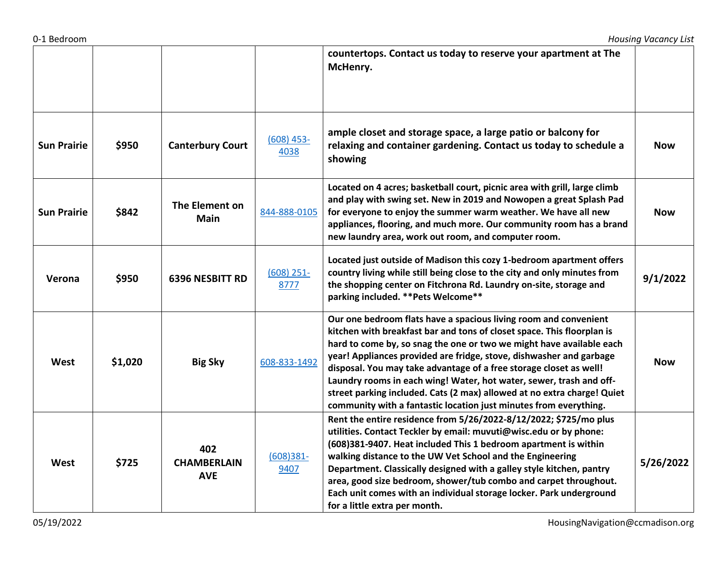|                    |         |                                         |                      | countertops. Contact us today to reserve your apartment at The<br>McHenry.                                                                                                                                                                                                                                                                                                                                                                                                                                                                                                             |            |
|--------------------|---------|-----------------------------------------|----------------------|----------------------------------------------------------------------------------------------------------------------------------------------------------------------------------------------------------------------------------------------------------------------------------------------------------------------------------------------------------------------------------------------------------------------------------------------------------------------------------------------------------------------------------------------------------------------------------------|------------|
| <b>Sun Prairie</b> | \$950   | <b>Canterbury Court</b>                 | $(608)$ 453-<br>4038 | ample closet and storage space, a large patio or balcony for<br>relaxing and container gardening. Contact us today to schedule a<br>showing                                                                                                                                                                                                                                                                                                                                                                                                                                            | <b>Now</b> |
| <b>Sun Prairie</b> | \$842   | The Element on<br><b>Main</b>           | 844-888-0105         | Located on 4 acres; basketball court, picnic area with grill, large climb<br>and play with swing set. New in 2019 and Nowopen a great Splash Pad<br>for everyone to enjoy the summer warm weather. We have all new<br>appliances, flooring, and much more. Our community room has a brand<br>new laundry area, work out room, and computer room.                                                                                                                                                                                                                                       | <b>Now</b> |
| Verona             | \$950   | <b>6396 NESBITT RD</b>                  | $(608)$ 251-<br>8777 | Located just outside of Madison this cozy 1-bedroom apartment offers<br>country living while still being close to the city and only minutes from<br>the shopping center on Fitchrona Rd. Laundry on-site, storage and<br>parking included. ** Pets Welcome**                                                                                                                                                                                                                                                                                                                           | 9/1/2022   |
| West               | \$1,020 | <b>Big Sky</b>                          | 608-833-1492         | Our one bedroom flats have a spacious living room and convenient<br>kitchen with breakfast bar and tons of closet space. This floorplan is<br>hard to come by, so snag the one or two we might have available each<br>year! Appliances provided are fridge, stove, dishwasher and garbage<br>disposal. You may take advantage of a free storage closet as well!<br>Laundry rooms in each wing! Water, hot water, sewer, trash and off-<br>street parking included. Cats (2 max) allowed at no extra charge! Quiet<br>community with a fantastic location just minutes from everything. | <b>Now</b> |
| West               | \$725   | 402<br><b>CHAMBERLAIN</b><br><b>AVE</b> | $(608)381 -$<br>9407 | Rent the entire residence from 5/26/2022-8/12/2022; \$725/mo plus<br>utilities. Contact Teckler by email: muvuti@wisc.edu or by phone:<br>(608)381-9407. Heat included This 1 bedroom apartment is within<br>walking distance to the UW Vet School and the Engineering<br>Department. Classically designed with a galley style kitchen, pantry<br>area, good size bedroom, shower/tub combo and carpet throughout.<br>Each unit comes with an individual storage locker. Park underground<br>for a little extra per month.                                                             | 5/26/2022  |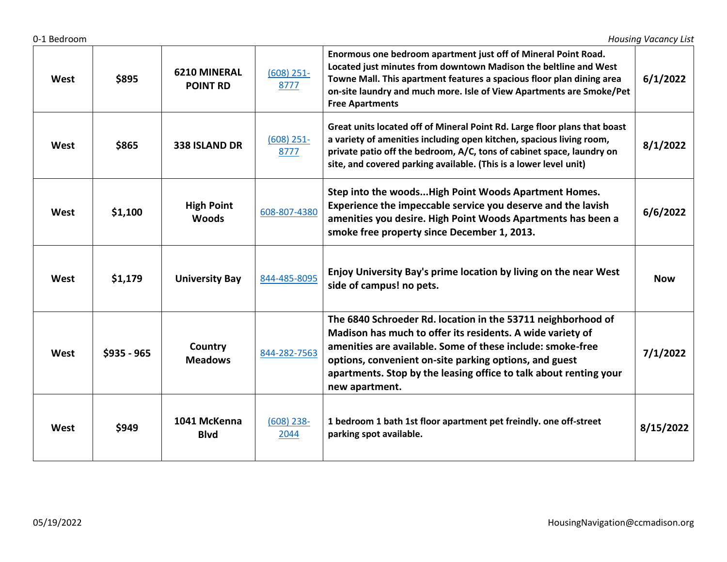| West | \$895       | <b>6210 MINERAL</b><br><b>POINT RD</b> | $(608)$ 251-<br>8777 | Enormous one bedroom apartment just off of Mineral Point Road.<br>Located just minutes from downtown Madison the beltline and West<br>Towne Mall. This apartment features a spacious floor plan dining area<br>on-site laundry and much more. Isle of View Apartments are Smoke/Pet<br><b>Free Apartments</b>                             | 6/1/2022   |
|------|-------------|----------------------------------------|----------------------|-------------------------------------------------------------------------------------------------------------------------------------------------------------------------------------------------------------------------------------------------------------------------------------------------------------------------------------------|------------|
| West | \$865       | 338 ISLAND DR                          | $(608)$ 251-<br>8777 | Great units located off of Mineral Point Rd. Large floor plans that boast<br>a variety of amenities including open kitchen, spacious living room,<br>private patio off the bedroom, A/C, tons of cabinet space, laundry on<br>site, and covered parking available. (This is a lower level unit)                                           | 8/1/2022   |
| West | \$1,100     | <b>High Point</b><br><b>Woods</b>      | 608-807-4380         | Step into the woods High Point Woods Apartment Homes.<br>Experience the impeccable service you deserve and the lavish<br>amenities you desire. High Point Woods Apartments has been a<br>smoke free property since December 1, 2013.                                                                                                      | 6/6/2022   |
| West | \$1,179     | <b>University Bay</b>                  | 844-485-8095         | Enjoy University Bay's prime location by living on the near West<br>side of campus! no pets.                                                                                                                                                                                                                                              | <b>Now</b> |
| West | \$935 - 965 | Country<br><b>Meadows</b>              | 844-282-7563         | The 6840 Schroeder Rd. location in the 53711 neighborhood of<br>Madison has much to offer its residents. A wide variety of<br>amenities are available. Some of these include: smoke-free<br>options, convenient on-site parking options, and guest<br>apartments. Stop by the leasing office to talk about renting your<br>new apartment. | 7/1/2022   |
| West | \$949       | 1041 McKenna<br><b>Blvd</b>            | $(608)$ 238-<br>2044 | 1 bedroom 1 bath 1st floor apartment pet freindly. one off-street<br>parking spot available.                                                                                                                                                                                                                                              | 8/15/2022  |